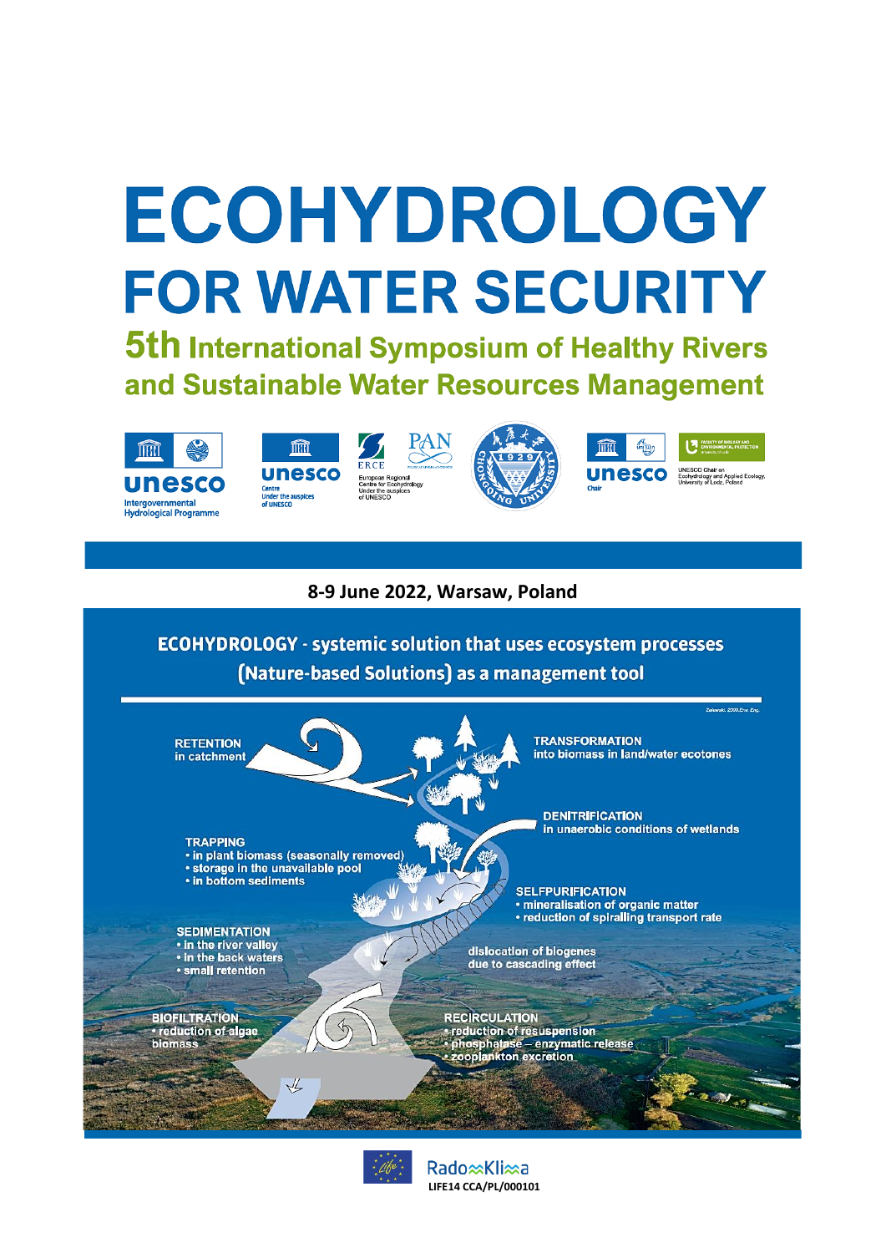## ECOHYDROLOGY **FOR WATER SECURITY**

**5th International Symposium of Healthy Rivers** and Sustainable Water Resources Management











MACULTY OF BIOLOGY **Unesco** Chair on<br>University of Localy and Applied Ecology

## **8-9 June 2022, Warsaw, Poland**

**ECOHYDROLOGY - systemic solution that uses ecosystem processes** (Nature-based Solutions) as a management tool





Rado <sup>∞</sup>Kli∞a **LIFE14 CCA/PL/000101**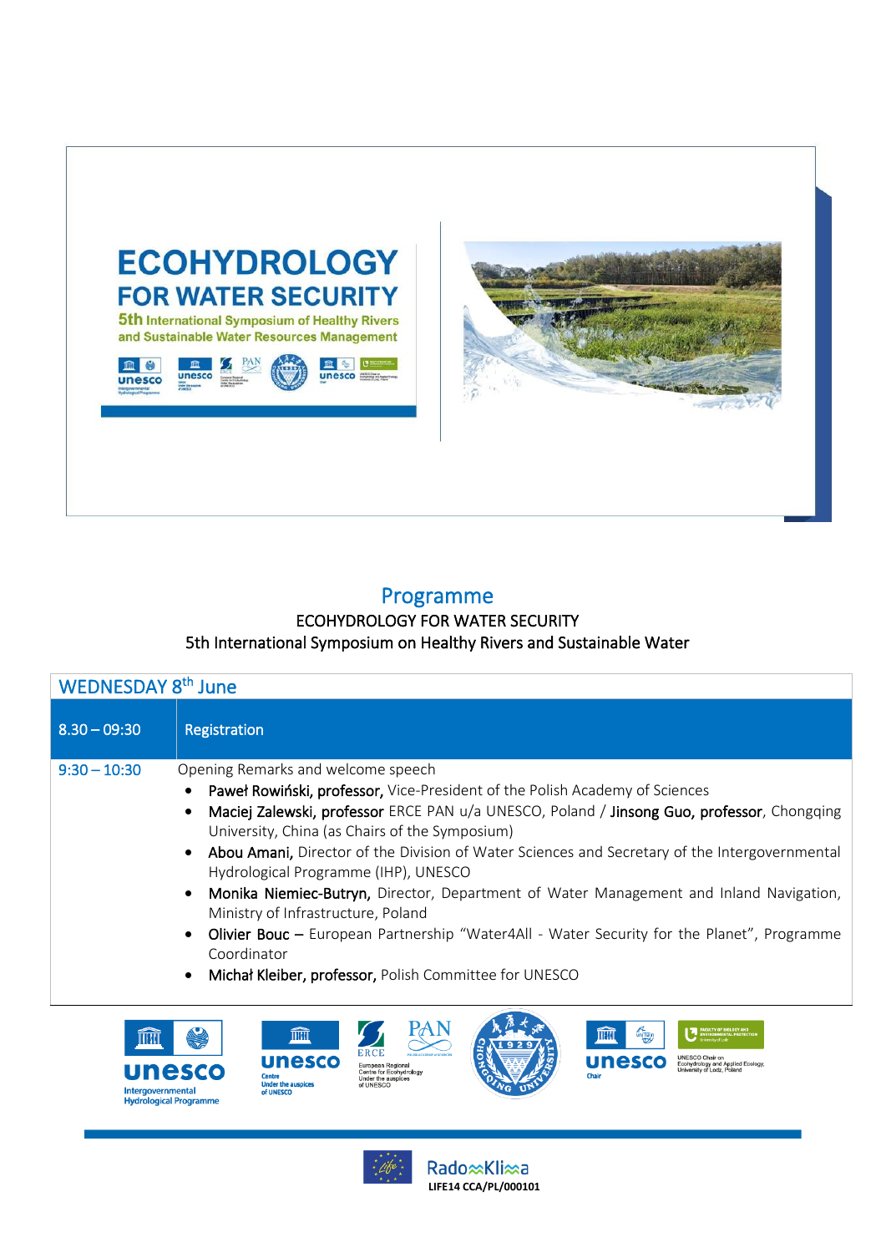



不可

UNESCO Chair on<br>Ecohydrology and Applied Ecology<br>University of Lodz, Poland

**unesco** 

m

I

## Programme

## ECOHYDROLOGY FOR WATER SECURITY 5th International Symposium on Healthy Rivers and Sustainable Water

| WEDNESDAY 8 <sup>th</sup> June |                                                                                                                                                                                                                                                                                                                                                                                                                                                                                                                                                                                                                                                                                                                   |  |
|--------------------------------|-------------------------------------------------------------------------------------------------------------------------------------------------------------------------------------------------------------------------------------------------------------------------------------------------------------------------------------------------------------------------------------------------------------------------------------------------------------------------------------------------------------------------------------------------------------------------------------------------------------------------------------------------------------------------------------------------------------------|--|
| $8.30 - 09:30$                 | Registration                                                                                                                                                                                                                                                                                                                                                                                                                                                                                                                                                                                                                                                                                                      |  |
| $9:30 - 10:30$                 | Opening Remarks and welcome speech<br>Paweł Rowiński, professor, Vice-President of the Polish Academy of Sciences<br>Maciej Zalewski, professor ERCE PAN u/a UNESCO, Poland / Jinsong Guo, professor, Chongqing<br>University, China (as Chairs of the Symposium)<br>Abou Amani, Director of the Division of Water Sciences and Secretary of the Intergovernmental<br>Hydrological Programme (IHP), UNESCO<br>Monika Niemiec-Butryn, Director, Department of Water Management and Inland Navigation,<br>Ministry of Infrastructure, Poland<br>Olivier Bouc – European Partnership "Water4All - Water Security for the Planet", Programme<br>Coordinator<br>Michał Kleiber, professor, Polish Committee for UNESCO |  |

PAN





m

**unesco** 

**Under the auspice** 

Rado <u>x</u>Kli xa **LIFE14 CCA/PL/000101**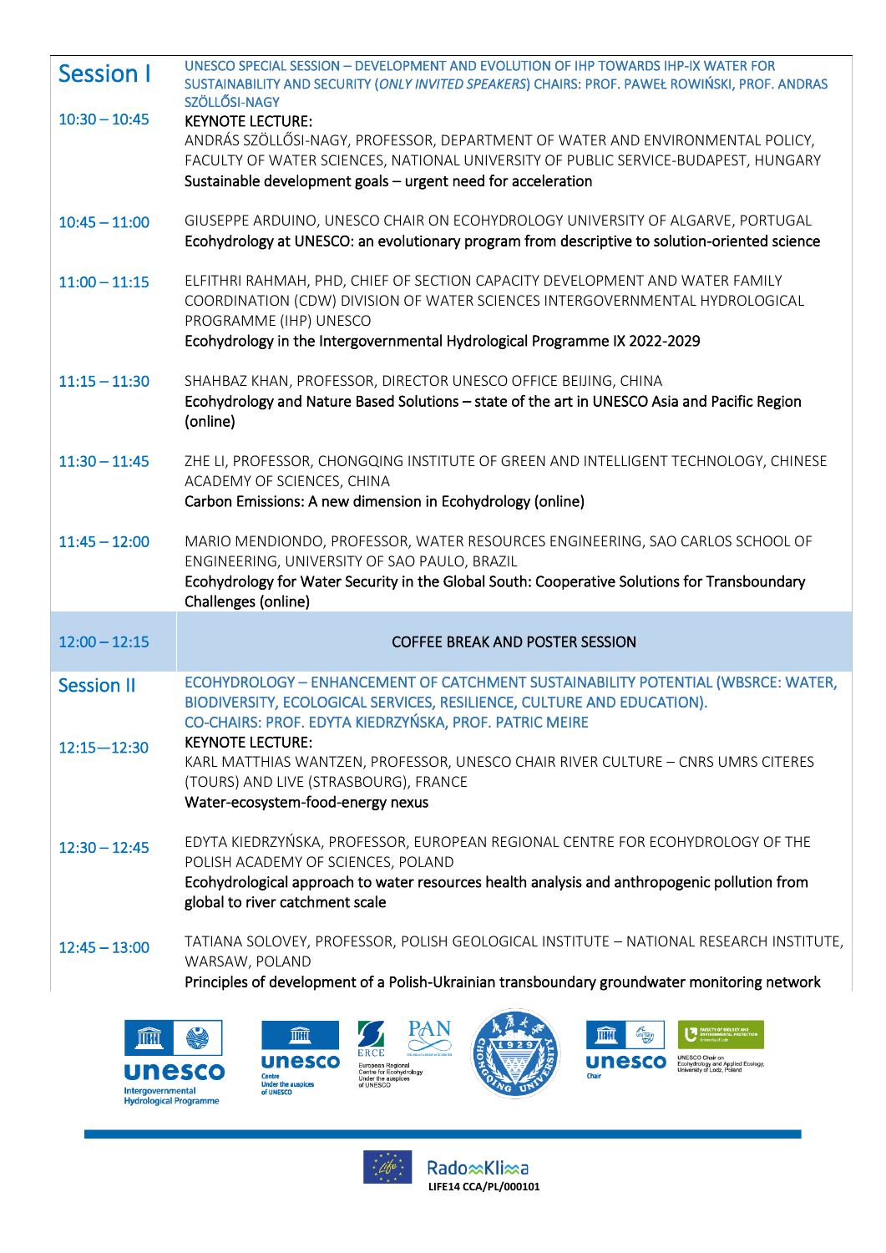|                                                           | <b>Session I</b>  | UNESCO SPECIAL SESSION - DEVELOPMENT AND EVOLUTION OF IHP TOWARDS IHP-IX WATER FOR<br>SUSTAINABILITY AND SECURITY (ONLY INVITED SPEAKERS) CHAIRS: PROF. PAWEŁ ROWIŃSKI, PROF. ANDRAS<br>SZÖLLŐSI-NAGY                                |  |
|-----------------------------------------------------------|-------------------|--------------------------------------------------------------------------------------------------------------------------------------------------------------------------------------------------------------------------------------|--|
|                                                           | $10:30 - 10:45$   | <b>KEYNOTE LECTURE:</b>                                                                                                                                                                                                              |  |
|                                                           |                   | ANDRÁS SZÖLLŐSI-NAGY, PROFESSOR, DEPARTMENT OF WATER AND ENVIRONMENTAL POLICY,<br>FACULTY OF WATER SCIENCES, NATIONAL UNIVERSITY OF PUBLIC SERVICE-BUDAPEST, HUNGARY<br>Sustainable development goals - urgent need for acceleration |  |
|                                                           |                   |                                                                                                                                                                                                                                      |  |
|                                                           | $10:45 - 11:00$   | GIUSEPPE ARDUINO, UNESCO CHAIR ON ECOHYDROLOGY UNIVERSITY OF ALGARVE, PORTUGAL<br>Ecohydrology at UNESCO: an evolutionary program from descriptive to solution-oriented science                                                      |  |
|                                                           | $11:00 - 11:15$   | ELFITHRI RAHMAH, PHD, CHIEF OF SECTION CAPACITY DEVELOPMENT AND WATER FAMILY<br>COORDINATION (CDW) DIVISION OF WATER SCIENCES INTERGOVERNMENTAL HYDROLOGICAL<br>PROGRAMME (IHP) UNESCO                                               |  |
|                                                           |                   | Ecohydrology in the Intergovernmental Hydrological Programme IX 2022-2029                                                                                                                                                            |  |
|                                                           | $11:15 - 11:30$   | SHAHBAZ KHAN, PROFESSOR, DIRECTOR UNESCO OFFICE BEIJING, CHINA                                                                                                                                                                       |  |
|                                                           |                   | Ecohydrology and Nature Based Solutions - state of the art in UNESCO Asia and Pacific Region<br>(online)                                                                                                                             |  |
|                                                           | $11:30 - 11:45$   | ZHE LI, PROFESSOR, CHONGQING INSTITUTE OF GREEN AND INTELLIGENT TECHNOLOGY, CHINESE<br>ACADEMY OF SCIENCES, CHINA<br>Carbon Emissions: A new dimension in Ecohydrology (online)                                                      |  |
|                                                           |                   |                                                                                                                                                                                                                                      |  |
|                                                           | $11:45 - 12:00$   | MARIO MENDIONDO, PROFESSOR, WATER RESOURCES ENGINEERING, SAO CARLOS SCHOOL OF<br>ENGINEERING, UNIVERSITY OF SAO PAULO, BRAZIL<br>Ecohydrology for Water Security in the Global South: Cooperative Solutions for Transboundary        |  |
|                                                           |                   | Challenges (online)                                                                                                                                                                                                                  |  |
|                                                           |                   |                                                                                                                                                                                                                                      |  |
| $12:00 - 12:15$<br><b>COFFEE BREAK AND POSTER SESSION</b> |                   |                                                                                                                                                                                                                                      |  |
|                                                           | <b>Session II</b> | ECOHYDROLOGY - ENHANCEMENT OF CATCHMENT SUSTAINABILITY POTENTIAL (WBSRCE: WATER,                                                                                                                                                     |  |
|                                                           |                   | BIODIVERSITY, ECOLOGICAL SERVICES, RESILIENCE, CULTURE AND EDUCATION).<br>CO-CHAIRS: PROF. EDYTA KIEDRZYŃSKA, PROF. PATRIC MEIRE                                                                                                     |  |
|                                                           | $12:15 - 12:30$   | <b>KEYNOTE LECTURE:</b><br>KARL MATTHIAS WANTZEN, PROFESSOR, UNESCO CHAIR RIVER CULTURE - CNRS UMRS CITERES                                                                                                                          |  |
|                                                           |                   | (TOURS) AND LIVE (STRASBOURG), FRANCE                                                                                                                                                                                                |  |
|                                                           |                   | Water-ecosystem-food-energy nexus                                                                                                                                                                                                    |  |
|                                                           | $12:30 - 12:45$   | EDYTA KIEDRZYŃSKA, PROFESSOR, EUROPEAN REGIONAL CENTRE FOR ECOHYDROLOGY OF THE                                                                                                                                                       |  |
|                                                           |                   | POLISH ACADEMY OF SCIENCES, POLAND                                                                                                                                                                                                   |  |
|                                                           |                   | Ecohydrological approach to water resources health analysis and anthropogenic pollution from<br>global to river catchment scale                                                                                                      |  |
|                                                           | $12:45 - 13:00$   | TATIANA SOLOVEY, PROFESSOR, POLISH GEOLOGICAL INSTITUTE - NATIONAL RESEARCH INSTITUTE,<br>WARSAW, POLAND                                                                                                                             |  |
|                                                           |                   | Principles of development of a Polish-Ukrainian transboundary groundwater monitoring network                                                                                                                                         |  |
|                                                           |                   |                                                                                                                                                                                                                                      |  |
|                                                           | THILL             | <b>MATER</b><br>THE<br><b>THERE</b>                                                                                                                                                                                                  |  |
|                                                           |                   |                                                                                                                                                                                                                                      |  |





European Regional<br>Centre for Ecohydrology<br>Under the auspices<br>of UNESCO

**unesco** 

Centre<br>Under the auspices<br>of UNESCO

Rado**<sup>(</sup>Kli**<sup>2</sup>a)

UNESCO Chair on<br>Economical Economic Applied Ecology.<br>Chair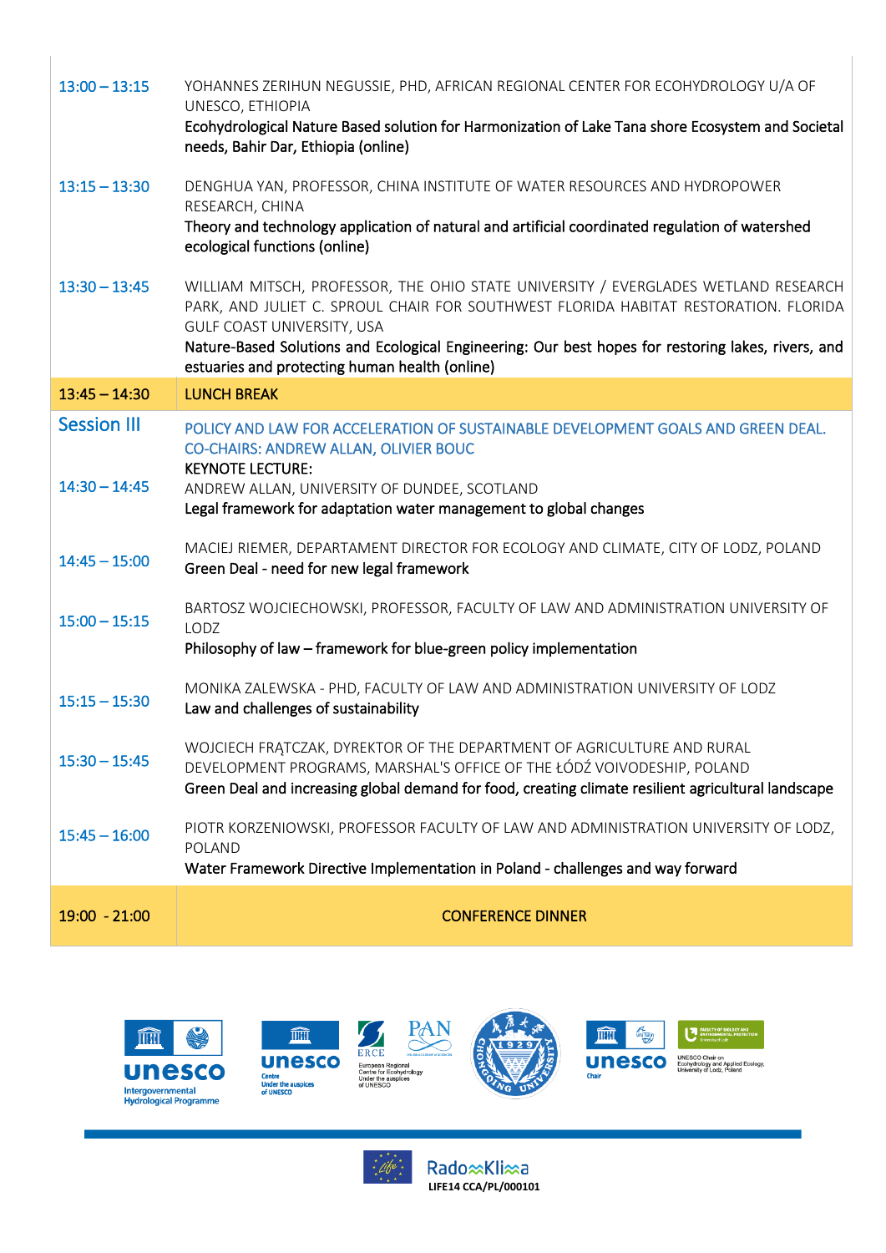| $13:00 - 13:15$    | YOHANNES ZERIHUN NEGUSSIE, PHD, AFRICAN REGIONAL CENTER FOR ECOHYDROLOGY U/A OF<br>UNESCO, ETHIOPIA<br>Ecohydrological Nature Based solution for Harmonization of Lake Tana shore Ecosystem and Societal<br>needs, Bahir Dar, Ethiopia (online)                                                                                                                 |
|--------------------|-----------------------------------------------------------------------------------------------------------------------------------------------------------------------------------------------------------------------------------------------------------------------------------------------------------------------------------------------------------------|
| $13:15 - 13:30$    | DENGHUA YAN, PROFESSOR, CHINA INSTITUTE OF WATER RESOURCES AND HYDROPOWER<br>RESEARCH, CHINA<br>Theory and technology application of natural and artificial coordinated regulation of watershed<br>ecological functions (online)                                                                                                                                |
| $13:30 - 13:45$    | WILLIAM MITSCH, PROFESSOR, THE OHIO STATE UNIVERSITY / EVERGLADES WETLAND RESEARCH<br>PARK, AND JULIET C. SPROUL CHAIR FOR SOUTHWEST FLORIDA HABITAT RESTORATION. FLORIDA<br>GULF COAST UNIVERSITY, USA<br>Nature-Based Solutions and Ecological Engineering: Our best hopes for restoring lakes, rivers, and<br>estuaries and protecting human health (online) |
| $13:45 - 14:30$    | <b>LUNCH BREAK</b>                                                                                                                                                                                                                                                                                                                                              |
| <b>Session III</b> | POLICY AND LAW FOR ACCELERATION OF SUSTAINABLE DEVELOPMENT GOALS AND GREEN DEAL.<br>CO-CHAIRS: ANDREW ALLAN, OLIVIER BOUC<br><b>KEYNOTE LECTURE:</b>                                                                                                                                                                                                            |
| $14:30 - 14:45$    | ANDREW ALLAN, UNIVERSITY OF DUNDEE, SCOTLAND<br>Legal framework for adaptation water management to global changes                                                                                                                                                                                                                                               |
| $14:45 - 15:00$    | MACIEJ RIEMER, DEPARTAMENT DIRECTOR FOR ECOLOGY AND CLIMATE, CITY OF LODZ, POLAND<br>Green Deal - need for new legal framework                                                                                                                                                                                                                                  |
| $15:00 - 15:15$    | BARTOSZ WOJCIECHOWSKI, PROFESSOR, FACULTY OF LAW AND ADMINISTRATION UNIVERSITY OF<br>LODZ<br>Philosophy of law - framework for blue-green policy implementation                                                                                                                                                                                                 |
|                    |                                                                                                                                                                                                                                                                                                                                                                 |
| $15:15 - 15:30$    | MONIKA ZALEWSKA - PHD, FACULTY OF LAW AND ADMINISTRATION UNIVERSITY OF LODZ<br>Law and challenges of sustainability                                                                                                                                                                                                                                             |
| $15:30 - 15:45$    | WOJCIECH FRATCZAK, DYREKTOR OF THE DEPARTMENT OF AGRICULTURE AND RURAL<br>DEVELOPMENT PROGRAMS, MARSHAL'S OFFICE OF THE ŁÓDŹ VOIVODESHIP, POLAND<br>Green Deal and increasing global demand for food, creating climate resilient agricultural landscape                                                                                                         |
| $15:45 - 16:00$    | PIOTR KORZENIOWSKI, PROFESSOR FACULTY OF LAW AND ADMINISTRATION UNIVERSITY OF LODZ,<br>POLAND<br>Water Framework Directive Implementation in Poland - challenges and way forward                                                                                                                                                                                |
|                    |                                                                                                                                                                                                                                                                                                                                                                 |
| $19:00 - 21:00$    | <b>CONFERENCE DINNER</b>                                                                                                                                                                                                                                                                                                                                        |











 $\begin{array}{c} \hline \end{array}$ 

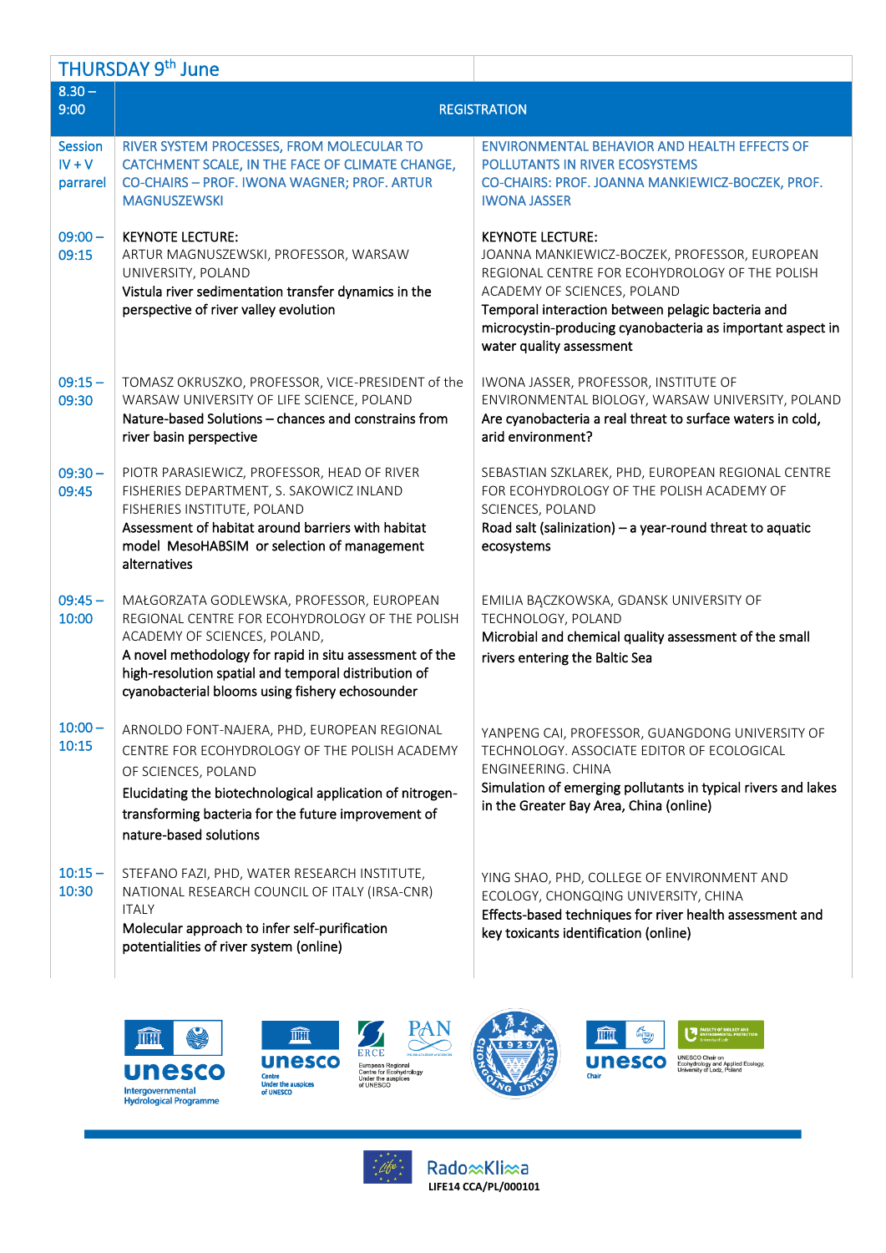|                                        | THURSDAY 9th June                                                                                                                                                                                                                                                                                 |                                                                                                                                                                                                                                                                                                          |
|----------------------------------------|---------------------------------------------------------------------------------------------------------------------------------------------------------------------------------------------------------------------------------------------------------------------------------------------------|----------------------------------------------------------------------------------------------------------------------------------------------------------------------------------------------------------------------------------------------------------------------------------------------------------|
| $8.30 -$<br>9:00                       |                                                                                                                                                                                                                                                                                                   | <b>REGISTRATION</b>                                                                                                                                                                                                                                                                                      |
| <b>Session</b><br>$IV + V$<br>parrarel | RIVER SYSTEM PROCESSES, FROM MOLECULAR TO<br>CATCHMENT SCALE, IN THE FACE OF CLIMATE CHANGE,<br>CO-CHAIRS - PROF. IWONA WAGNER; PROF. ARTUR<br><b>MAGNUSZEWSKI</b>                                                                                                                                | <b>ENVIRONMENTAL BEHAVIOR AND HEALTH EFFECTS OF</b><br>POLLUTANTS IN RIVER ECOSYSTEMS<br>CO-CHAIRS: PROF. JOANNA MANKIEWICZ-BOCZEK, PROF.<br><b>IWONA JASSER</b>                                                                                                                                         |
| $09:00 -$<br>09:15                     | <b>KEYNOTE LECTURE:</b><br>ARTUR MAGNUSZEWSKI, PROFESSOR, WARSAW<br>UNIVERSITY, POLAND<br>Vistula river sedimentation transfer dynamics in the<br>perspective of river valley evolution                                                                                                           | <b>KEYNOTE LECTURE:</b><br>JOANNA MANKIEWICZ-BOCZEK, PROFESSOR, EUROPEAN<br>REGIONAL CENTRE FOR ECOHYDROLOGY OF THE POLISH<br>ACADEMY OF SCIENCES, POLAND<br>Temporal interaction between pelagic bacteria and<br>microcystin-producing cyanobacteria as important aspect in<br>water quality assessment |
| $09:15 -$<br>09:30                     | TOMASZ OKRUSZKO, PROFESSOR, VICE-PRESIDENT of the<br>WARSAW UNIVERSITY OF LIFE SCIENCE, POLAND<br>Nature-based Solutions – chances and constrains from<br>river basin perspective                                                                                                                 | IWONA JASSER, PROFESSOR, INSTITUTE OF<br>ENVIRONMENTAL BIOLOGY, WARSAW UNIVERSITY, POLAND<br>Are cyanobacteria a real threat to surface waters in cold,<br>arid environment?                                                                                                                             |
| $09:30 -$<br>09:45                     | PIOTR PARASIEWICZ, PROFESSOR, HEAD OF RIVER<br>FISHERIES DEPARTMENT, S. SAKOWICZ INLAND<br>FISHERIES INSTITUTE, POLAND<br>Assessment of habitat around barriers with habitat<br>model MesoHABSIM or selection of management<br>alternatives                                                       | SEBASTIAN SZKLAREK, PHD, EUROPEAN REGIONAL CENTRE<br>FOR ECOHYDROLOGY OF THE POLISH ACADEMY OF<br>SCIENCES, POLAND<br>Road salt (salinization) - a year-round threat to aquatic<br>ecosystems                                                                                                            |
| $09:45 -$<br>10:00                     | MAŁGORZATA GODLEWSKA, PROFESSOR, EUROPEAN<br>REGIONAL CENTRE FOR ECOHYDROLOGY OF THE POLISH<br>ACADEMY OF SCIENCES, POLAND,<br>A novel methodology for rapid in situ assessment of the<br>high-resolution spatial and temporal distribution of<br>cyanobacterial blooms using fishery echosounder | EMILIA BĄCZKOWSKA, GDANSK UNIVERSITY OF<br>TECHNOLOGY, POLAND<br>Microbial and chemical quality assessment of the small<br>rivers entering the Baltic Sea                                                                                                                                                |
| $10:00 -$<br>10:15                     | ARNOLDO FONT-NAJERA, PHD, EUROPEAN REGIONAL<br>CENTRE FOR ECOHYDROLOGY OF THE POLISH ACADEMY<br>OF SCIENCES, POLAND<br>Elucidating the biotechnological application of nitrogen-<br>transforming bacteria for the future improvement of<br>nature-based solutions                                 | YANPENG CAI, PROFESSOR, GUANGDONG UNIVERSITY OF<br>TECHNOLOGY. ASSOCIATE EDITOR OF ECOLOGICAL<br>ENGINEERING. CHINA<br>Simulation of emerging pollutants in typical rivers and lakes<br>in the Greater Bay Area, China (online)                                                                          |
| $10:15 -$<br>10:30                     | STEFANO FAZI, PHD, WATER RESEARCH INSTITUTE,<br>NATIONAL RESEARCH COUNCIL OF ITALY (IRSA-CNR)<br><b>ITALY</b><br>Molecular approach to infer self-purification<br>potentialities of river system (online)                                                                                         | YING SHAO, PHD, COLLEGE OF ENVIRONMENT AND<br>ECOLOGY, CHONGQING UNIVERSITY, CHINA<br>Effects-based techniques for river health assessment and<br>key toxicants identification (online)                                                                                                                  |







 $\frac{1}{2}$ 



**III** 

**A**<br>Unitain

**UP** 

Unesco Chair on Ecolydrology and Applied Ecology, Chair

Rado xKli xa **LIFE14 CCA/PL/000101**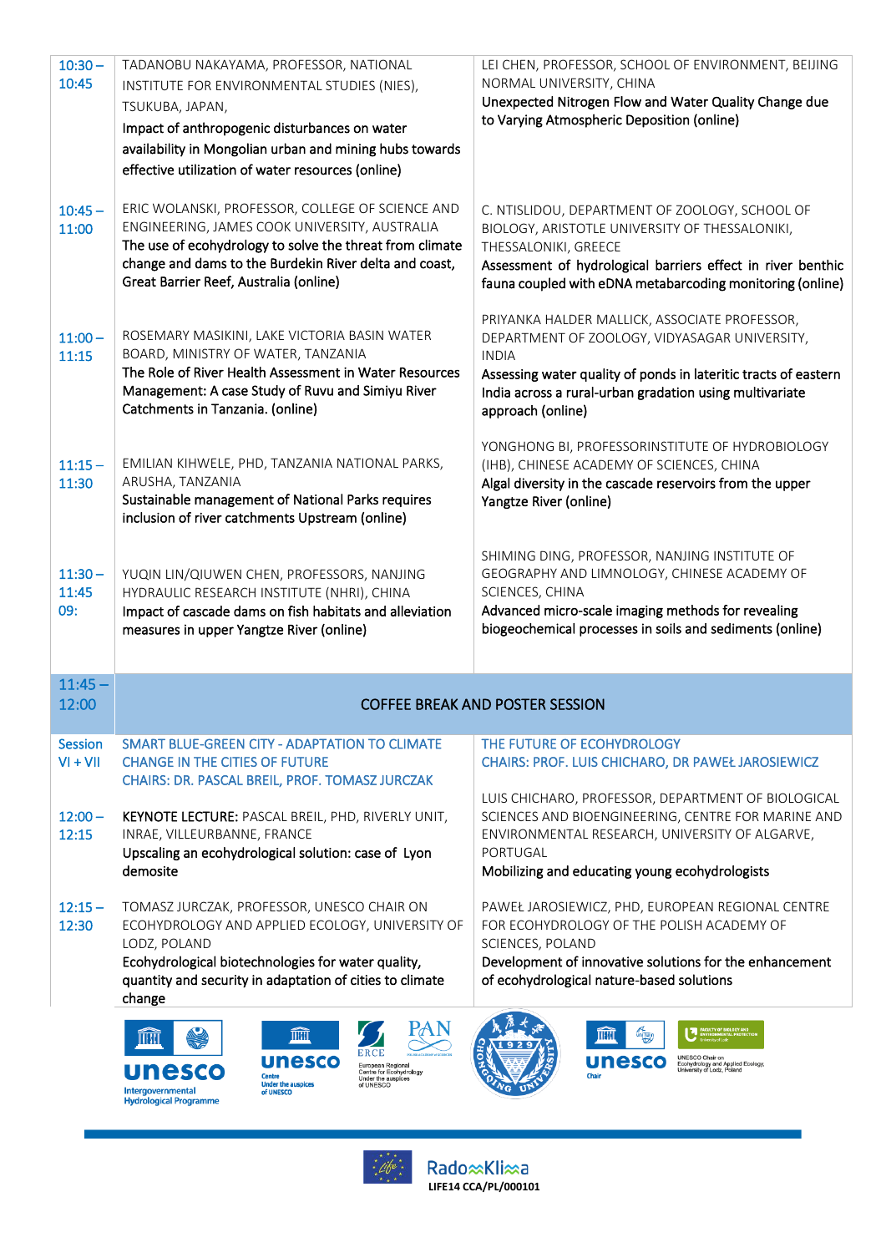| $10:30 -$          | TADANOBU NAKAYAMA, PROFESSOR, NATIONAL                                                                         | LEI CHEN, PROFESSOR, SCHOOL OF ENVIRONMENT, BEIJING                                                   |
|--------------------|----------------------------------------------------------------------------------------------------------------|-------------------------------------------------------------------------------------------------------|
| 10:45              | INSTITUTE FOR ENVIRONMENTAL STUDIES (NIES),                                                                    | NORMAL UNIVERSITY, CHINA                                                                              |
|                    | TSUKUBA, JAPAN,                                                                                                | Unexpected Nitrogen Flow and Water Quality Change due                                                 |
|                    | Impact of anthropogenic disturbances on water                                                                  | to Varying Atmospheric Deposition (online)                                                            |
|                    | availability in Mongolian urban and mining hubs towards                                                        |                                                                                                       |
|                    | effective utilization of water resources (online)                                                              |                                                                                                       |
|                    |                                                                                                                |                                                                                                       |
| $10:45 -$          | ERIC WOLANSKI, PROFESSOR, COLLEGE OF SCIENCE AND                                                               | C. NTISLIDOU, DEPARTMENT OF ZOOLOGY, SCHOOL OF                                                        |
| 11:00              | ENGINEERING, JAMES COOK UNIVERSITY, AUSTRALIA                                                                  | BIOLOGY, ARISTOTLE UNIVERSITY OF THESSALONIKI,                                                        |
|                    | The use of ecohydrology to solve the threat from climate                                                       | THESSALONIKI, GREECE                                                                                  |
|                    | change and dams to the Burdekin River delta and coast,                                                         | Assessment of hydrological barriers effect in river benthic                                           |
|                    | Great Barrier Reef, Australia (online)                                                                         | fauna coupled with eDNA metabarcoding monitoring (online)                                             |
|                    |                                                                                                                |                                                                                                       |
| $11:00 -$          | ROSEMARY MASIKINI, LAKE VICTORIA BASIN WATER                                                                   | PRIYANKA HALDER MALLICK, ASSOCIATE PROFESSOR,<br>DEPARTMENT OF ZOOLOGY, VIDYASAGAR UNIVERSITY,        |
| 11:15              | BOARD, MINISTRY OF WATER, TANZANIA                                                                             | <b>INDIA</b>                                                                                          |
|                    | The Role of River Health Assessment in Water Resources                                                         | Assessing water quality of ponds in lateritic tracts of eastern                                       |
|                    | Management: A case Study of Ruvu and Simiyu River                                                              | India across a rural-urban gradation using multivariate                                               |
|                    | Catchments in Tanzania. (online)                                                                               | approach (online)                                                                                     |
|                    |                                                                                                                |                                                                                                       |
|                    |                                                                                                                | YONGHONG BI, PROFESSORINSTITUTE OF HYDROBIOLOGY                                                       |
| $11:15 -$<br>11:30 | EMILIAN KIHWELE, PHD, TANZANIA NATIONAL PARKS,<br>ARUSHA, TANZANIA                                             | (IHB), CHINESE ACADEMY OF SCIENCES, CHINA<br>Algal diversity in the cascade reservoirs from the upper |
|                    | Sustainable management of National Parks requires                                                              | Yangtze River (online)                                                                                |
|                    | inclusion of river catchments Upstream (online)                                                                |                                                                                                       |
|                    |                                                                                                                |                                                                                                       |
|                    |                                                                                                                | SHIMING DING, PROFESSOR, NANJING INSTITUTE OF                                                         |
| $11:30 -$          | YUQIN LIN/QIUWEN CHEN, PROFESSORS, NANJING                                                                     | GEOGRAPHY AND LIMNOLOGY, CHINESE ACADEMY OF                                                           |
|                    |                                                                                                                |                                                                                                       |
| 11:45              | HYDRAULIC RESEARCH INSTITUTE (NHRI), CHINA                                                                     | SCIENCES, CHINA                                                                                       |
| 09:                | Impact of cascade dams on fish habitats and alleviation                                                        | Advanced micro-scale imaging methods for revealing                                                    |
|                    | measures in upper Yangtze River (online)                                                                       | biogeochemical processes in soils and sediments (online)                                              |
|                    |                                                                                                                |                                                                                                       |
| $11:45 -$          |                                                                                                                |                                                                                                       |
| 12:00              |                                                                                                                | <b>COFFEE BREAK AND POSTER SESSION</b>                                                                |
|                    |                                                                                                                |                                                                                                       |
| Session            | SMART BLUE-GREEN CITY - ADAPTATION TO CLIMATE                                                                  | THE FUTURE OF ECOHYDROLOGY                                                                            |
| $VI + VII$         | <b>CHANGE IN THE CITIES OF FUTURE</b>                                                                          | CHAIRS: PROF. LUIS CHICHARO, DR PAWEŁ JAROSIEWICZ                                                     |
|                    | CHAIRS: DR. PASCAL BREIL, PROF. TOMASZ JURCZAK                                                                 |                                                                                                       |
|                    |                                                                                                                | LUIS CHICHARO, PROFESSOR, DEPARTMENT OF BIOLOGICAL                                                    |
| $12:00 -$          | <b>KEYNOTE LECTURE: PASCAL BREIL, PHD, RIVERLY UNIT,</b>                                                       | SCIENCES AND BIOENGINEERING, CENTRE FOR MARINE AND                                                    |
| 12:15              | INRAE, VILLEURBANNE, FRANCE                                                                                    | ENVIRONMENTAL RESEARCH, UNIVERSITY OF ALGARVE,<br>PORTUGAL                                            |
|                    | Upscaling an ecohydrological solution: case of Lyon<br>demosite                                                | Mobilizing and educating young ecohydrologists                                                        |
|                    |                                                                                                                |                                                                                                       |
| $12:15 -$          | TOMASZ JURCZAK, PROFESSOR, UNESCO CHAIR ON                                                                     | PAWEŁ JAROSIEWICZ, PHD, EUROPEAN REGIONAL CENTRE                                                      |
| 12:30              | ECOHYDROLOGY AND APPLIED ECOLOGY, UNIVERSITY OF                                                                | FOR ECOHYDROLOGY OF THE POLISH ACADEMY OF                                                             |
|                    | LODZ, POLAND                                                                                                   | SCIENCES, POLAND                                                                                      |
|                    | Ecohydrological biotechnologies for water quality,                                                             | Development of innovative solutions for the enhancement                                               |
|                    | quantity and security in adaptation of cities to climate                                                       | of ecohydrological nature-based solutions                                                             |
|                    | change                                                                                                         |                                                                                                       |
|                    | IIII                                                                                                           | <b>ALTURICA</b><br>VOITURIO<br>ШИЦ                                                                    |
|                    |                                                                                                                |                                                                                                       |
|                    | unesco<br><b>European Regional</b><br>unesco<br>Centre for Ecohydrology<br><b>Centre</b><br>Under the auspices | <b>unesco</b><br>Ecohydrology and Applied Ecology,<br>University of Lodz, Poland                      |
|                    | <b>Under the auspices</b><br>of UNESCO<br>Intergovernmental<br>of UNESCO<br><b>Hydrological Programme</b>      |                                                                                                       |



Rado x Kli x a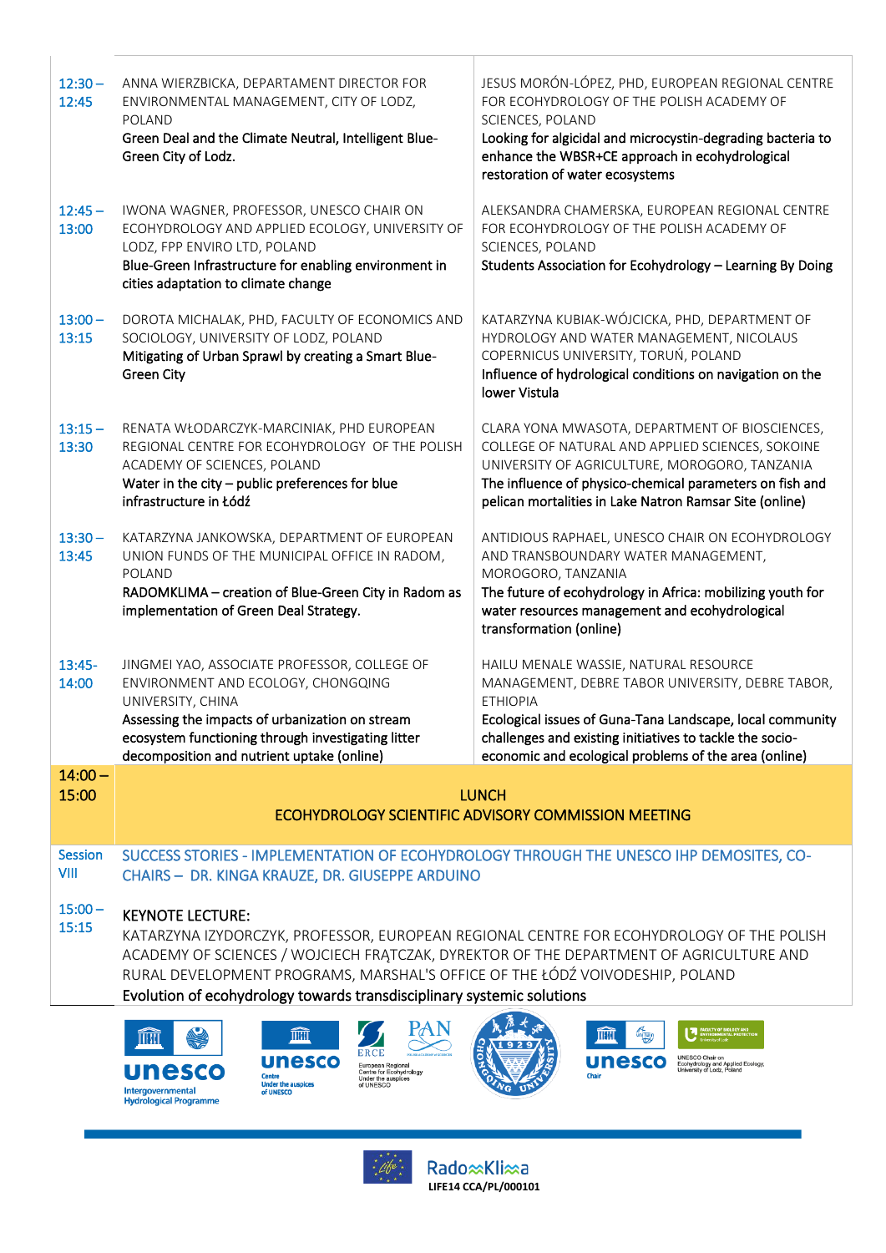| $12:30 -$<br>12:45     | ANNA WIERZBICKA, DEPARTAMENT DIRECTOR FOR<br>ENVIRONMENTAL MANAGEMENT, CITY OF LODZ,<br>POLAND<br>Green Deal and the Climate Neutral, Intelligent Blue-<br>Green City of Lodz.                                                                                                                                                                                          | JESUS MORÓN-LÓPEZ, PHD, EUROPEAN REGIONAL CENTRE<br>FOR ECOHYDROLOGY OF THE POLISH ACADEMY OF<br>SCIENCES, POLAND<br>Looking for algicidal and microcystin-degrading bacteria to<br>enhance the WBSR+CE approach in ecohydrological<br>restoration of water ecosystems                         |  |
|------------------------|-------------------------------------------------------------------------------------------------------------------------------------------------------------------------------------------------------------------------------------------------------------------------------------------------------------------------------------------------------------------------|------------------------------------------------------------------------------------------------------------------------------------------------------------------------------------------------------------------------------------------------------------------------------------------------|--|
| $12:45 -$<br>13:00     | IWONA WAGNER, PROFESSOR, UNESCO CHAIR ON<br>ECOHYDROLOGY AND APPLIED ECOLOGY, UNIVERSITY OF<br>LODZ, FPP ENVIRO LTD, POLAND<br>Blue-Green Infrastructure for enabling environment in<br>cities adaptation to climate change                                                                                                                                             | ALEKSANDRA CHAMERSKA, EUROPEAN REGIONAL CENTRE<br>FOR ECOHYDROLOGY OF THE POLISH ACADEMY OF<br>SCIENCES, POLAND<br>Students Association for Ecohydrology - Learning By Doing                                                                                                                   |  |
| $13:00 -$<br>13:15     | DOROTA MICHALAK, PHD, FACULTY OF ECONOMICS AND<br>SOCIOLOGY, UNIVERSITY OF LODZ, POLAND<br>Mitigating of Urban Sprawl by creating a Smart Blue-<br><b>Green City</b>                                                                                                                                                                                                    | KATARZYNA KUBIAK-WÓJCICKA, PHD, DEPARTMENT OF<br>HYDROLOGY AND WATER MANAGEMENT, NICOLAUS<br>COPERNICUS UNIVERSITY, TORUŃ, POLAND<br>Influence of hydrological conditions on navigation on the<br>lower Vistula                                                                                |  |
| $13:15 -$<br>13:30     | RENATA WŁODARCZYK-MARCINIAK, PHD EUROPEAN<br>REGIONAL CENTRE FOR ECOHYDROLOGY OF THE POLISH<br>ACADEMY OF SCIENCES, POLAND<br>Water in the city $-$ public preferences for blue<br>infrastructure in Łódź                                                                                                                                                               | CLARA YONA MWASOTA, DEPARTMENT OF BIOSCIENCES,<br>COLLEGE OF NATURAL AND APPLIED SCIENCES, SOKOINE<br>UNIVERSITY OF AGRICULTURE, MOROGORO, TANZANIA<br>The influence of physico-chemical parameters on fish and<br>pelican mortalities in Lake Natron Ramsar Site (online)                     |  |
| $13:30 -$<br>13:45     | KATARZYNA JANKOWSKA, DEPARTMENT OF EUROPEAN<br>UNION FUNDS OF THE MUNICIPAL OFFICE IN RADOM,<br>POLAND<br>RADOMKLIMA - creation of Blue-Green City in Radom as<br>implementation of Green Deal Strategy.                                                                                                                                                                | ANTIDIOUS RAPHAEL, UNESCO CHAIR ON ECOHYDROLOGY<br>AND TRANSBOUNDARY WATER MANAGEMENT,<br>MOROGORO, TANZANIA<br>The future of ecohydrology in Africa: mobilizing youth for<br>water resources management and ecohydrological<br>transformation (online)                                        |  |
| $13:45-$<br>14:00      | JINGMEI YAO, ASSOCIATE PROFESSOR, COLLEGE OF<br>ENVIRONMENT AND ECOLOGY, CHONGQING<br>UNIVERSITY, CHINA<br>Assessing the impacts of urbanization on stream<br>ecosystem functioning through investigating litter<br>decomposition and nutrient uptake (online)                                                                                                          | HAILU MENALE WASSIE, NATURAL RESOURCE<br>MANAGEMENT, DEBRE TABOR UNIVERSITY, DEBRE TABOR,<br><b>ETHIOPIA</b><br>Ecological issues of Guna-Tana Landscape, local community<br>challenges and existing initiatives to tackle the socio-<br>economic and ecological problems of the area (online) |  |
| $14:00 -$              |                                                                                                                                                                                                                                                                                                                                                                         |                                                                                                                                                                                                                                                                                                |  |
| 15:00                  |                                                                                                                                                                                                                                                                                                                                                                         | <b>LUNCH</b><br>ECOHYDROLOGY SCIENTIFIC ADVISORY COMMISSION MEETING                                                                                                                                                                                                                            |  |
| <b>Session</b><br>VIII | SUCCESS STORIES - IMPLEMENTATION OF ECOHYDROLOGY THROUGH THE UNESCO IHP DEMOSITES, CO-<br>CHAIRS - DR. KINGA KRAUZE, DR. GIUSEPPE ARDUINO                                                                                                                                                                                                                               |                                                                                                                                                                                                                                                                                                |  |
| $15:00 -$<br>15:15     | <b>KEYNOTE LECTURE:</b><br>KATARZYNA IZYDORCZYK, PROFESSOR, EUROPEAN REGIONAL CENTRE FOR ECOHYDROLOGY OF THE POLISH<br>ACADEMY OF SCIENCES / WOJCIECH FRATCZAK, DYREKTOR OF THE DEPARTMENT OF AGRICULTURE AND<br>RURAL DEVELOPMENT PROGRAMS, MARSHAL'S OFFICE OF THE ŁÓDŹ VOIVODESHIP, POLAND<br>Evolution of ecohydrology towards transdisciplinary systemic solutions |                                                                                                                                                                                                                                                                                                |  |
|                        | IIII<br><b>unesco</b><br>European Regional<br>nesco<br>Centre for Ecohydrology<br><b>Centre</b><br>Under the auspices<br><b>Under the auspices</b><br>of UNESCO<br>nternovernment                                                                                                                                                                                       | 不要<br>ШШ<br>UNESCO Chair on<br><b>unesco</b><br>Ecohydrology and Applied Ecology,<br>University of Lodz, Poland<br>Chair                                                                                                                                                                       |  |





Rado xKli xa **LIFE14 CCA/PL/000101**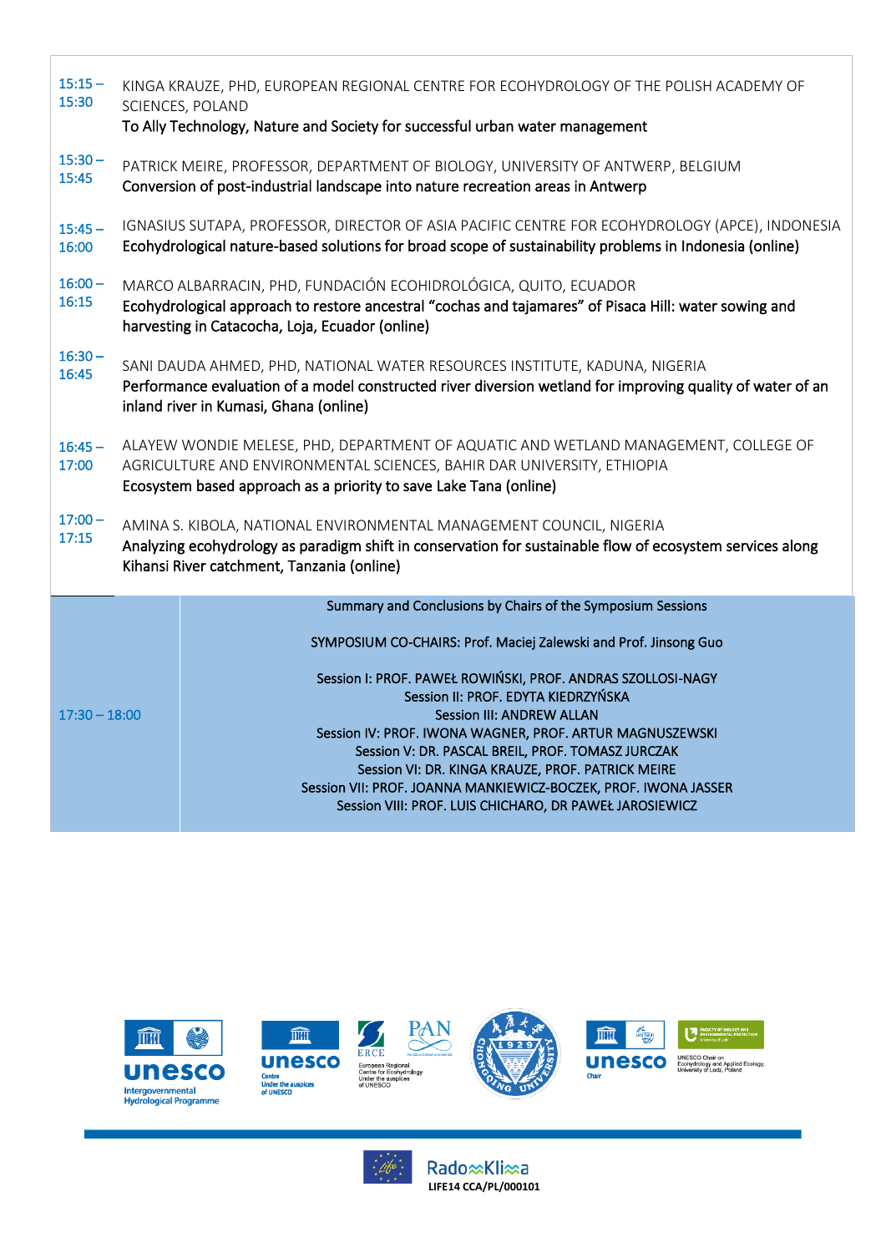| $15:15 -$<br>15:30 | KINGA KRAUZE, PHD, EUROPEAN REGIONAL CENTRE FOR ECOHYDROLOGY OF THE POLISH ACADEMY OF<br>SCIENCES, POLAND<br>To Ally Technology, Nature and Society for successful urban water management                                          |                                                                                                                                                                                                                                                                                                                                                                                                                                                                                                                |  |  |
|--------------------|------------------------------------------------------------------------------------------------------------------------------------------------------------------------------------------------------------------------------------|----------------------------------------------------------------------------------------------------------------------------------------------------------------------------------------------------------------------------------------------------------------------------------------------------------------------------------------------------------------------------------------------------------------------------------------------------------------------------------------------------------------|--|--|
| $15:30 -$<br>15:45 |                                                                                                                                                                                                                                    | PATRICK MEIRE, PROFESSOR, DEPARTMENT OF BIOLOGY, UNIVERSITY OF ANTWERP, BELGIUM<br>Conversion of post-industrial landscape into nature recreation areas in Antwerp                                                                                                                                                                                                                                                                                                                                             |  |  |
| $15:45 -$<br>16:00 |                                                                                                                                                                                                                                    | IGNASIUS SUTAPA, PROFESSOR, DIRECTOR OF ASIA PACIFIC CENTRE FOR ECOHYDROLOGY (APCE), INDONESIA<br>Ecohydrological nature-based solutions for broad scope of sustainability problems in Indonesia (online)                                                                                                                                                                                                                                                                                                      |  |  |
| $16:00 -$<br>16:15 | MARCO ALBARRACIN, PHD, FUNDACIÓN ECOHIDROLÓGICA, QUITO, ECUADOR<br>Ecohydrological approach to restore ancestral "cochas and tajamares" of Pisaca Hill: water sowing and<br>harvesting in Catacocha, Loja, Ecuador (online)        |                                                                                                                                                                                                                                                                                                                                                                                                                                                                                                                |  |  |
| $16:30 -$<br>16:45 | SANI DAUDA AHMED, PHD, NATIONAL WATER RESOURCES INSTITUTE, KADUNA, NIGERIA<br>Performance evaluation of a model constructed river diversion wetland for improving quality of water of an<br>inland river in Kumasi, Ghana (online) |                                                                                                                                                                                                                                                                                                                                                                                                                                                                                                                |  |  |
| $16:45 -$<br>17:00 | ALAYEW WONDIE MELESE, PHD, DEPARTMENT OF AQUATIC AND WETLAND MANAGEMENT, COLLEGE OF<br>AGRICULTURE AND ENVIRONMENTAL SCIENCES, BAHIR DAR UNIVERSITY, ETHIOPIA<br>Ecosystem based approach as a priority to save Lake Tana (online) |                                                                                                                                                                                                                                                                                                                                                                                                                                                                                                                |  |  |
| $17:00 -$<br>17:15 | AMINA S. KIBOLA, NATIONAL ENVIRONMENTAL MANAGEMENT COUNCIL, NIGERIA<br>Analyzing ecohydrology as paradigm shift in conservation for sustainable flow of ecosystem services along<br>Kihansi River catchment, Tanzania (online)     |                                                                                                                                                                                                                                                                                                                                                                                                                                                                                                                |  |  |
|                    |                                                                                                                                                                                                                                    | Summary and Conclusions by Chairs of the Symposium Sessions                                                                                                                                                                                                                                                                                                                                                                                                                                                    |  |  |
| $17:30 - 18:00$    |                                                                                                                                                                                                                                    | SYMPOSIUM CO-CHAIRS: Prof. Maciej Zalewski and Prof. Jinsong Guo<br>Session I: PROF. PAWEŁ ROWIŃSKI, PROF. ANDRAS SZOLLOSI-NAGY<br>Session II: PROF. EDYTA KIEDRZYŃSKA<br><b>Session III: ANDREW ALLAN</b><br>Session IV: PROF. IWONA WAGNER, PROF. ARTUR MAGNUSZEWSKI<br>Session V: DR. PASCAL BREIL, PROF. TOMASZ JURCZAK<br>Session VI: DR. KINGA KRAUZE, PROF. PATRICK MEIRE<br>Session VII: PROF. JOANNA MANKIEWICZ-BOCZEK, PROF. IWONA JASSER<br>Session VIII: PROF. LUIS CHICHARO, DR PAWEŁ JAROSIEWICZ |  |  |













Rado xKli xa **LIFE14 CCA/PL/000101**